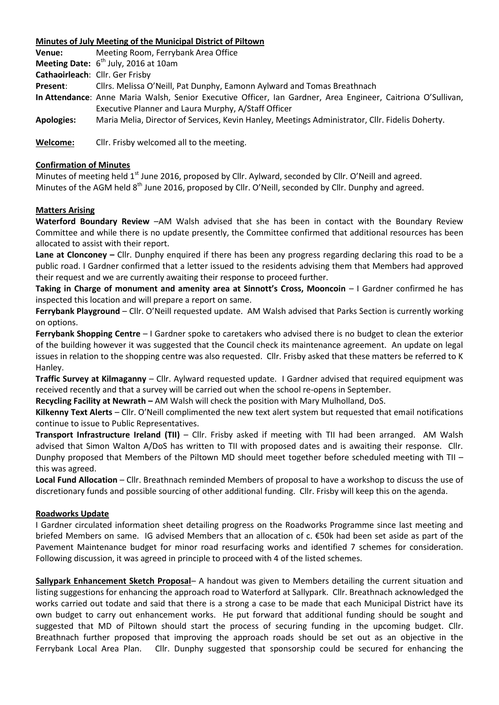## **Minutes of July Meeting of the Municipal District of Piltown**

**Venue:** Meeting Room, Ferrybank Area Office **Meeting Date:** 6<sup>th</sup> July, 2016 at 10am **Cathaoirleach**: Cllr. Ger Frisby **Present**: Cllrs. Melissa O'Neill, Pat Dunphy, Eamonn Aylward and Tomas Breathnach **In Attendance**: Anne Maria Walsh, Senior Executive Officer, Ian Gardner, Area Engineer, Caitriona O'Sullivan, Executive Planner and Laura Murphy, A/Staff Officer **Apologies:** Maria Melia, Director of Services, Kevin Hanley, Meetings Administrator, Cllr. Fidelis Doherty. **Welcome:** Cllr. Frisby welcomed all to the meeting.

### **Confirmation of Minutes**

Minutes of meeting held 1<sup>st</sup> June 2016, proposed by Cllr. Aylward, seconded by Cllr. O'Neill and agreed. Minutes of the AGM held 8<sup>th</sup> June 2016, proposed by Cllr. O'Neill, seconded by Cllr. Dunphy and agreed.

## **Matters Arising**

**Waterford Boundary Review** –AM Walsh advised that she has been in contact with the Boundary Review Committee and while there is no update presently, the Committee confirmed that additional resources has been allocated to assist with their report.

**Lane at Clonconey –** Cllr. Dunphy enquired if there has been any progress regarding declaring this road to be a public road. I Gardner confirmed that a letter issued to the residents advising them that Members had approved their request and we are currently awaiting their response to proceed further.

**Taking in Charge of monument and amenity area at Sinnott's Cross, Mooncoin** – I Gardner confirmed he has inspected this location and will prepare a report on same.

**Ferrybank Playground** – Cllr. O'Neill requested update. AM Walsh advised that Parks Section is currently working on options.

**Ferrybank Shopping Centre** *–* I Gardner spoke to caretakers who advised there is no budget to clean the exterior of the building however it was suggested that the Council check its maintenance agreement. An update on legal issues in relation to the shopping centre was also requested. Cllr. Frisby asked that these matters be referred to K Hanley.

**Traffic Survey at Kilmaganny** – Cllr. Aylward requested update. I Gardner advised that required equipment was received recently and that a survey will be carried out when the school re-opens in September.

**Recycling Facility at Newrath –** AM Walsh will check the position with Mary Mulholland, DoS.

**Kilkenny Text Alerts** *–* Cllr. O'Neill complimented the new text alert system but requested that email notifications continue to issue to Public Representatives.

**Transport Infrastructure Ireland (TII)** – Cllr. Frisby asked if meeting with TII had been arranged. AM Walsh advised that Simon Walton A/DoS has written to TII with proposed dates and is awaiting their response. Cllr. Dunphy proposed that Members of the Piltown MD should meet together before scheduled meeting with TII – this was agreed.

**Local Fund Allocation** – Cllr. Breathnach reminded Members of proposal to have a workshop to discuss the use of discretionary funds and possible sourcing of other additional funding. Cllr. Frisby will keep this on the agenda.

## **Roadworks Update**

I Gardner circulated information sheet detailing progress on the Roadworks Programme since last meeting and briefed Members on same. IG advised Members that an allocation of c. €50k had been set aside as part of the Pavement Maintenance budget for minor road resurfacing works and identified 7 schemes for consideration. Following discussion, it was agreed in principle to proceed with 4 of the listed schemes.

**Sallypark Enhancement Sketch Proposal***–* A handout was given to Members detailing the current situation and listing suggestions for enhancing the approach road to Waterford at Sallypark. Cllr. Breathnach acknowledged the works carried out todate and said that there is a strong a case to be made that each Municipal District have its own budget to carry out enhancement works. He put forward that additional funding should be sought and suggested that MD of Piltown should start the process of securing funding in the upcoming budget. Cllr. Breathnach further proposed that improving the approach roads should be set out as an objective in the Ferrybank Local Area Plan. Cllr. Dunphy suggested that sponsorship could be secured for enhancing the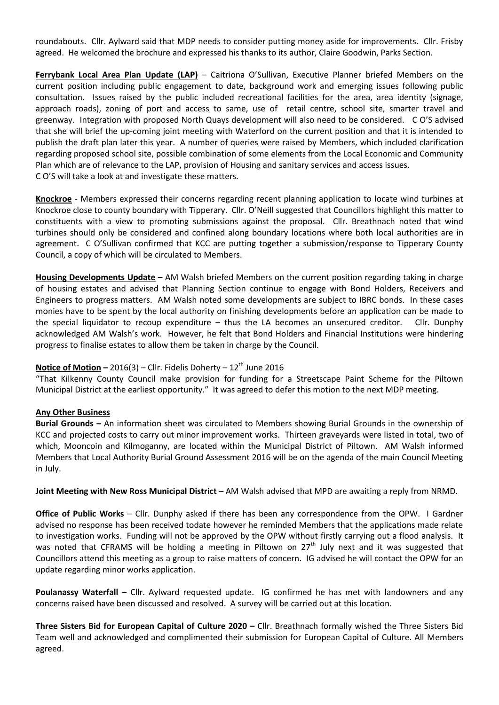roundabouts. Cllr. Aylward said that MDP needs to consider putting money aside for improvements. Cllr. Frisby agreed. He welcomed the brochure and expressed his thanks to its author, Claire Goodwin, Parks Section.

**Ferrybank Local Area Plan Update (LAP)** – Caitriona O'Sullivan, Executive Planner briefed Members on the current position including public engagement to date, background work and emerging issues following public consultation. Issues raised by the public included recreational facilities for the area, area identity (signage, approach roads), zoning of port and access to same, use of retail centre, school site, smarter travel and greenway. Integration with proposed North Quays development will also need to be considered. C O'S advised that she will brief the up-coming joint meeting with Waterford on the current position and that it is intended to publish the draft plan later this year. A number of queries were raised by Members, which included clarification regarding proposed school site, possible combination of some elements from the Local Economic and Community Plan which are of relevance to the LAP, provision of Housing and sanitary services and access issues. C O'S will take a look at and investigate these matters.

**Knockroe** - Members expressed their concerns regarding recent planning application to locate wind turbines at Knockroe close to county boundary with Tipperary. Cllr. O'Neill suggested that Councillors highlight this matter to constituents with a view to promoting submissions against the proposal. Cllr. Breathnach noted that wind turbines should only be considered and confined along boundary locations where both local authorities are in agreement. C O'Sullivan confirmed that KCC are putting together a submission/response to Tipperary County Council, a copy of which will be circulated to Members.

**Housing Developments Update –** AM Walsh briefed Members on the current position regarding taking in charge of housing estates and advised that Planning Section continue to engage with Bond Holders, Receivers and Engineers to progress matters. AM Walsh noted some developments are subject to IBRC bonds. In these cases monies have to be spent by the local authority on finishing developments before an application can be made to the special liquidator to recoup expenditure – thus the LA becomes an unsecured creditor. Cllr. Dunphy acknowledged AM Walsh's work. However, he felt that Bond Holders and Financial Institutions were hindering progress to finalise estates to allow them be taken in charge by the Council.

### **Notice of Motion – 2016(3) – Cllr. Fidelis Doherty –**  $12<sup>th</sup>$  **June 2016**

"That Kilkenny County Council make provision for funding for a Streetscape Paint Scheme for the Piltown Municipal District at the earliest opportunity." It was agreed to defer this motion to the next MDP meeting.

#### **Any Other Business**

**Burial Grounds –** An information sheet was circulated to Members showing Burial Grounds in the ownership of KCC and projected costs to carry out minor improvement works. Thirteen graveyards were listed in total, two of which, Mooncoin and Kilmoganny, are located within the Municipal District of Piltown. AM Walsh informed Members that Local Authority Burial Ground Assessment 2016 will be on the agenda of the main Council Meeting in July.

**Joint Meeting with New Ross Municipal District** – AM Walsh advised that MPD are awaiting a reply from NRMD.

**Office of Public Works** – Cllr. Dunphy asked if there has been any correspondence from the OPW. I Gardner advised no response has been received todate however he reminded Members that the applications made relate to investigation works. Funding will not be approved by the OPW without firstly carrying out a flood analysis. It was noted that CFRAMS will be holding a meeting in Piltown on 27<sup>th</sup> July next and it was suggested that Councillors attend this meeting as a group to raise matters of concern. IG advised he will contact the OPW for an update regarding minor works application.

**Poulanassy Waterfall** – Cllr. Aylward requested update. IG confirmed he has met with landowners and any concerns raised have been discussed and resolved. A survey will be carried out at this location.

**Three Sisters Bid for European Capital of Culture 2020 –** Cllr. Breathnach formally wished the Three Sisters Bid Team well and acknowledged and complimented their submission for European Capital of Culture. All Members agreed.